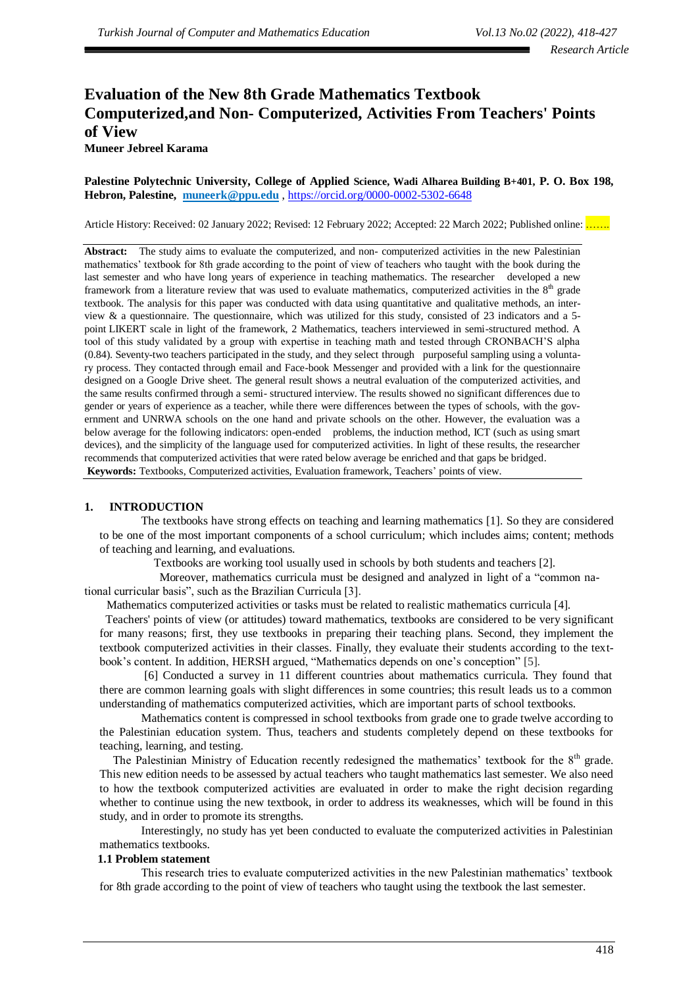# **Evaluation of the New 8th Grade Mathematics Textbook Computerized,and Non- Computerized, Activities From Teachers' Points of View**

# **Muneer Jebreel Karama**

**Palestine Polytechnic University, College of Applied Science, Wadi Alharea Building B+401, P. O. Box 198, Hebron, Palestine, [muneerk@ppu.edu](mailto:muneerk@ppu.edu)** , https://orcid.org/0000-0002-5302-6648

Article History: Received: 02 January 2022; Revised: 12 February 2022; Accepted: 22 March 2022; Published online: ......

Abstract: The study aims to evaluate the computerized, and non- computerized activities in the new Palestinian mathematics' textbook for 8th grade according to the point of view of teachers who taught with the book during the last semester and who have long years of experience in teaching mathematics. The researcher developed a new framework from a literature review that was used to evaluate mathematics, computerized activities in the  $8<sup>th</sup>$  grade textbook. The analysis for this paper was conducted with data using quantitative and qualitative methods, an interview  $\&$  a questionnaire. The questionnaire, which was utilized for this study, consisted of 23 indicators and a 5point LIKERT scale in light of the framework, 2 Mathematics, teachers interviewed in semi-structured method. A tool of this study validated by a group with expertise in teaching math and tested through CRONBACH'S alpha (0.84). Seventy-two teachers participated in the study, and they select through purposeful sampling using a voluntary process. They contacted through email and Face-book Messenger and provided with a link for the questionnaire designed on a Google Drive sheet. The general result shows a neutral evaluation of the computerized activities, and the same results confirmed through a semi- structured interview. The results showed no significant differences due to gender or years of experience as a teacher, while there were differences between the types of schools, with the government and UNRWA schools on the one hand and private schools on the other. However, the evaluation was a below average for the following indicators: open-ended problems, the induction method, ICT (such as using smart devices), and the simplicity of the language used for computerized activities. In light of these results, the researcher recommends that computerized activities that were rated below average be enriched and that gaps be bridged. **Keywords:** Textbooks, Computerized activities, Evaluation framework, Teachers' points of view.

# **1. INTRODUCTION**

The textbooks have strong effects on teaching and learning mathematics [1]. So they are considered to be one of the most important components of a school curriculum; which includes aims; content; methods of teaching and learning, and evaluations.

Textbooks are working tool usually used in schools by both students and teachers [2].

 Moreover, mathematics curricula must be designed and analyzed in light of a "common national curricular basis", such as the Brazilian Curricula [3].

Mathematics computerized activities or tasks must be related to realistic mathematics curricula [4].

 Teachers' points of view (or attitudes) toward mathematics, textbooks are considered to be very significant for many reasons; first, they use textbooks in preparing their teaching plans. Second, they implement the textbook computerized activities in their classes. Finally, they evaluate their students according to the textbook's content. In addition, HERSH argued, "Mathematics depends on one's conception" [5].

[6] Conducted a survey in 11 different countries about mathematics curricula. They found that there are common learning goals with slight differences in some countries; this result leads us to a common understanding of mathematics computerized activities, which are important parts of school textbooks.

Mathematics content is compressed in school textbooks from grade one to grade twelve according to the Palestinian education system. Thus, teachers and students completely depend on these textbooks for teaching, learning, and testing.

The Palestinian Ministry of Education recently redesigned the mathematics' textbook for the 8<sup>th</sup> grade. This new edition needs to be assessed by actual teachers who taught mathematics last semester. We also need to how the textbook computerized activities are evaluated in order to make the right decision regarding whether to continue using the new textbook, in order to address its weaknesses, which will be found in this study, and in order to promote its strengths.

Interestingly, no study has yet been conducted to evaluate the computerized activities in Palestinian mathematics textbooks.

#### **1.1 Problem statement**

This research tries to evaluate computerized activities in the new Palestinian mathematics' textbook for 8th grade according to the point of view of teachers who taught using the textbook the last semester.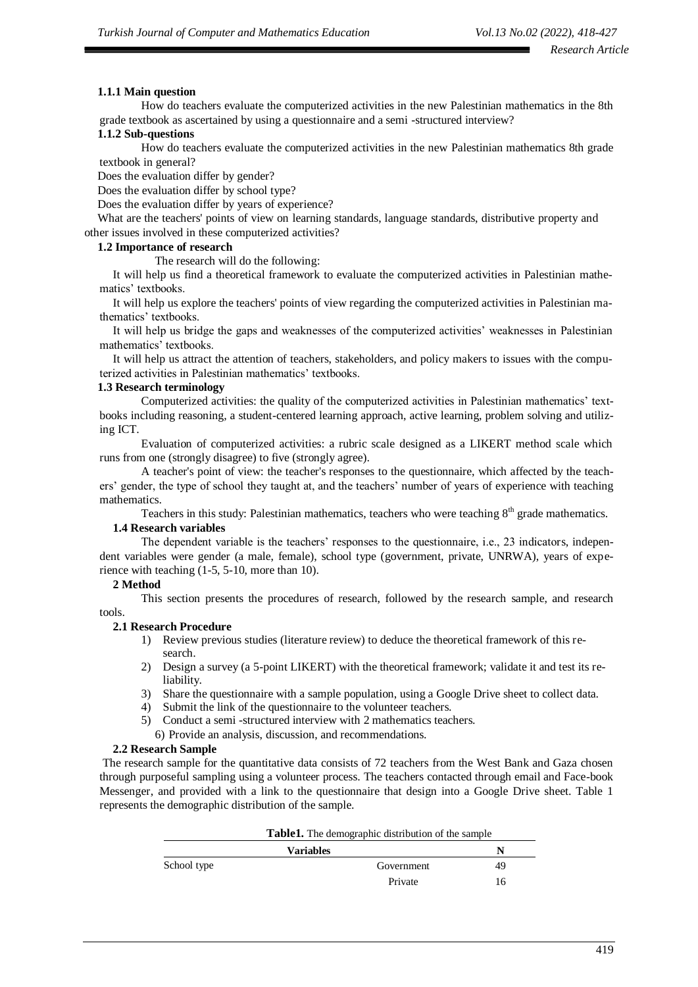# **1.1.1 Main question**

How do teachers evaluate the computerized activities in the new Palestinian mathematics in the 8th grade textbook as ascertained by using a questionnaire and a semi -structured interview?

# **1.1.2 Sub-questions**

How do teachers evaluate the computerized activities in the new Palestinian mathematics 8th grade textbook in general?

Does the evaluation differ by gender?

Does the evaluation differ by school type?

Does the evaluation differ by years of experience?

What are the teachers' points of view on learning standards, language standards, distributive property and other issues involved in these computerized activities?

# **1.2 Importance of research**

The research will do the following:

It will help us find a theoretical framework to evaluate the computerized activities in Palestinian mathematics' textbooks.

It will help us explore the teachers' points of view regarding the computerized activities in Palestinian mathematics' textbooks.

It will help us bridge the gaps and weaknesses of the computerized activities' weaknesses in Palestinian mathematics' textbooks.

It will help us attract the attention of teachers, stakeholders, and policy makers to issues with the computerized activities in Palestinian mathematics' textbooks.

# **1.3 Research terminology**

Computerized activities: the quality of the computerized activities in Palestinian mathematics' textbooks including reasoning, a student-centered learning approach, active learning, problem solving and utilizing ICT.

Evaluation of computerized activities: a rubric scale designed as a LIKERT method scale which runs from one (strongly disagree) to five (strongly agree).

A teacher's point of view: the teacher's responses to the questionnaire, which affected by the teachers' gender, the type of school they taught at, and the teachers' number of years of experience with teaching mathematics.

Teachers in this study: Palestinian mathematics, teachers who were teaching  $8<sup>th</sup>$  grade mathematics. **1.4 Research variables**

The dependent variable is the teachers' responses to the questionnaire, i.e., 23 indicators, independent variables were gender (a male, female), school type (government, private, UNRWA), years of experience with teaching (1-5, 5-10, more than 10).

# **2 Method**

This section presents the procedures of research, followed by the research sample, and research tools.

# **2.1 Research Procedure**

- 1) Review previous studies (literature review) to deduce the theoretical framework of this research.
- 2) Design a survey (a 5-point LIKERT) with the theoretical framework; validate it and test its reliability.
- 3) Share the questionnaire with a sample population, using a Google Drive sheet to collect data.
- 4) Submit the link of the questionnaire to the volunteer teachers.
- 5) Conduct a semi -structured interview with 2 mathematics teachers.
- 6) Provide an analysis, discussion, and recommendations.

# **2.2 Research Sample**

The research sample for the quantitative data consists of 72 teachers from the West Bank and Gaza chosen through purposeful sampling using a volunteer process. The teachers contacted through email and Face-book Messenger, and provided with a link to the questionnaire that design into a Google Drive sheet. Table 1 represents the demographic distribution of the sample.

| <b>Table1.</b> The demographic distribution of the sample |                  |    |  |  |
|-----------------------------------------------------------|------------------|----|--|--|
|                                                           | <b>Variables</b> | N  |  |  |
| School type                                               | Government       | 49 |  |  |
|                                                           | Private          | 16 |  |  |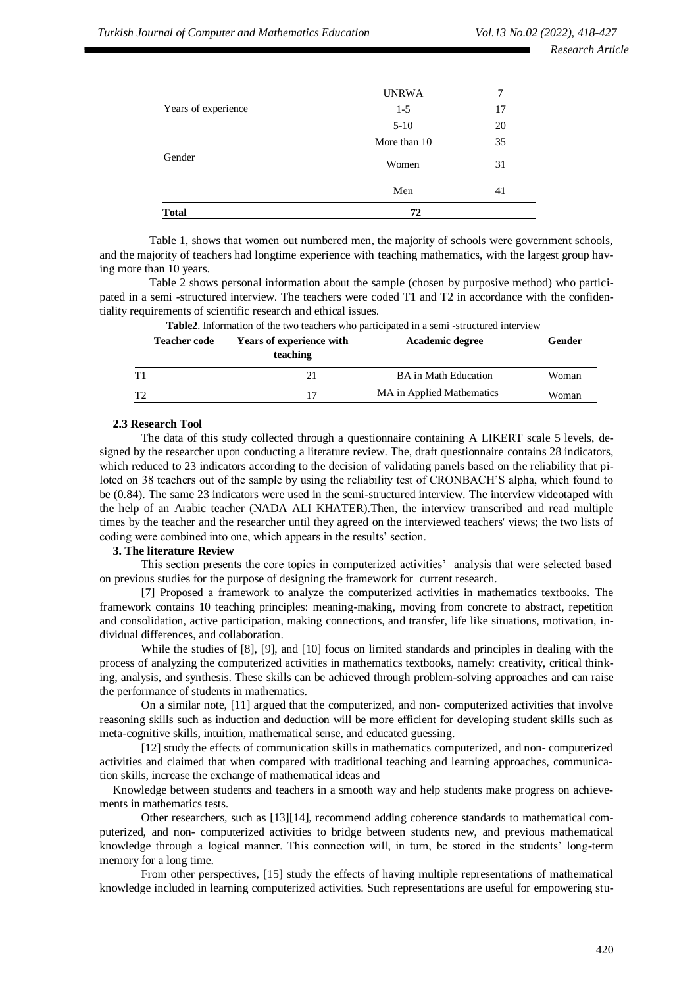*Research Article*

| 72           |    |
|--------------|----|
| Men          | 41 |
| Women        | 31 |
| More than 10 | 35 |
| $5-10$       | 20 |
| $1-5$        | 17 |
| <b>UNRWA</b> | 7  |
|              |    |

Table 1, shows that women out numbered men, the majority of schools were government schools, and the majority of teachers had longtime experience with teaching mathematics, with the largest group having more than 10 years.

Table 2 shows personal information about the sample (chosen by purposive method) who participated in a semi -structured interview. The teachers were coded T1 and T2 in accordance with the confidentiality requirements of scientific research and ethical issues.

|    | <b>Table2.</b> Information of the two teachers who participated in a semi-structured interview |                                             |                             |        |  |  |
|----|------------------------------------------------------------------------------------------------|---------------------------------------------|-----------------------------|--------|--|--|
|    | <b>Teacher code</b>                                                                            | <b>Years of experience with</b><br>teaching | Academic degree             | Gender |  |  |
| T1 |                                                                                                | 21                                          | <b>BA</b> in Math Education | Woman  |  |  |
| T2 |                                                                                                | 17                                          | MA in Applied Mathematics   | Woman  |  |  |

#### **2.3 Research Tool**

The data of this study collected through a questionnaire containing A LIKERT scale 5 levels, designed by the researcher upon conducting a literature review. The, draft questionnaire contains 28 indicators, which reduced to 23 indicators according to the decision of validating panels based on the reliability that piloted on 38 teachers out of the sample by using the reliability test of CRONBACH'S alpha, which found to be (0.84). The same 23 indicators were used in the semi-structured interview. The interview videotaped with the help of an Arabic teacher (NADA ALI KHATER).Then, the interview transcribed and read multiple times by the teacher and the researcher until they agreed on the interviewed teachers' views; the two lists of coding were combined into one, which appears in the results' section.

#### **3. The literature Review**

This section presents the core topics in computerized activities' analysis that were selected based on previous studies for the purpose of designing the framework for current research.

[7] Proposed a framework to analyze the computerized activities in mathematics textbooks. The framework contains 10 teaching principles: meaning-making, moving from concrete to abstract, repetition and consolidation, active participation, making connections, and transfer, life like situations, motivation, individual differences, and collaboration.

While the studies of [8], [9], and [10] focus on limited standards and principles in dealing with the process of analyzing the computerized activities in mathematics textbooks, namely: creativity, critical thinking, analysis, and synthesis. These skills can be achieved through problem-solving approaches and can raise the performance of students in mathematics.

On a similar note, [11] argued that the computerized, and non- computerized activities that involve reasoning skills such as induction and deduction will be more efficient for developing student skills such as meta-cognitive skills, intuition, mathematical sense, and educated guessing.

[12] study the effects of communication skills in mathematics computerized, and non- computerized activities and claimed that when compared with traditional teaching and learning approaches, communication skills, increase the exchange of mathematical ideas and

Knowledge between students and teachers in a smooth way and help students make progress on achievements in mathematics tests.

Other researchers, such as [13][14], recommend adding coherence standards to mathematical computerized, and non- computerized activities to bridge between students new, and previous mathematical knowledge through a logical manner. This connection will, in turn, be stored in the students' long-term memory for a long time.

From other perspectives, [15] study the effects of having multiple representations of mathematical knowledge included in learning computerized activities. Such representations are useful for empowering stu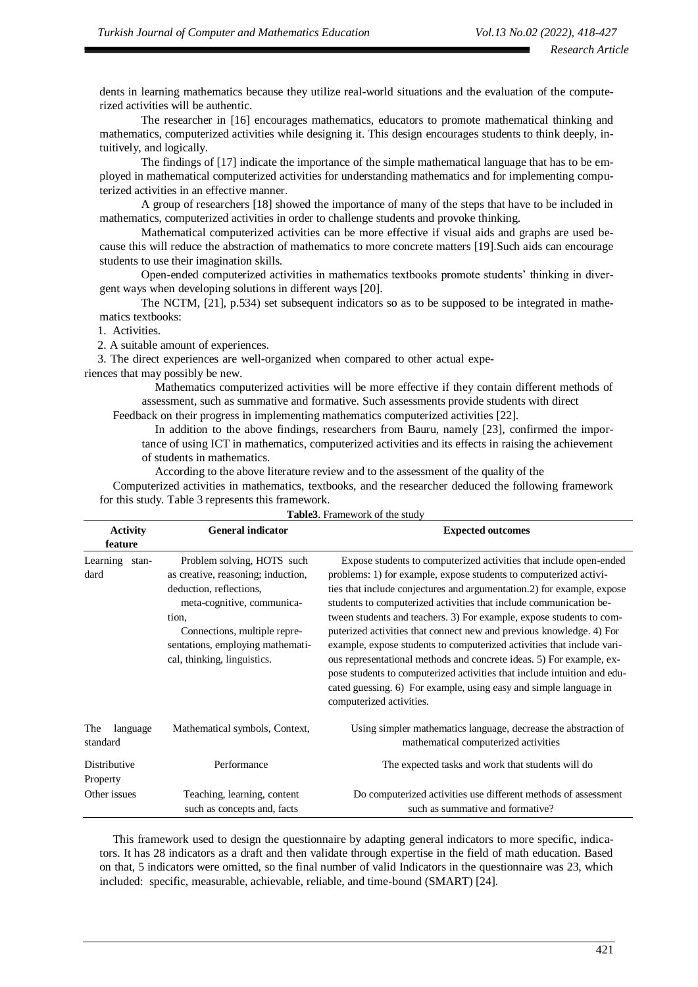dents in learning mathematics because they utilize real-world situations and the evaluation of the computerized activities will be authentic.

The researcher in [16] encourages mathematics, educators to promote mathematical thinking and mathematics, computerized activities while designing it. This design encourages students to think deeply, intuitively, and logically.

The findings of [17] indicate the importance of the simple mathematical language that has to be employed in mathematical computerized activities for understanding mathematics and for implementing computerized activities in an effective manner.

A group of researchers [18] showed the importance of many of the steps that have to be included in mathematics, computerized activities in order to challenge students and provoke thinking.

Mathematical computerized activities can be more effective if visual aids and graphs are used because this will reduce the abstraction of mathematics to more concrete matters [19].Such aids can encourage students to use their imagination skills.

Open-ended computerized activities in mathematics textbooks promote students' thinking in divergent ways when developing solutions in different ways [20].

The NCTM, [21], p.534) set subsequent indicators so as to be supposed to be integrated in mathematics textbooks:

1. Activities.

2. A suitable amount of experiences.

3. The direct experiences are well-organized when compared to other actual expe-

riences that may possibly be new.

Mathematics computerized activities will be more effective if they contain different methods of assessment, such as summative and formative. Such assessments provide students with direct

Feedback on their progress in implementing mathematics computerized activities [22].

In addition to the above findings, researchers from Bauru, namely [23], confirmed the importance of using ICT in mathematics, computerized activities and its effects in raising the achievement of students in mathematics.

According to the above literature review and to the assessment of the quality of the

Computerized activities in mathematics, textbooks, and the researcher deduced the following framework for this study. Table 3 represents this framework.

| <b>Activity</b><br>feature  | <b>General indicator</b>                                                                                                                                                                                                              | <b>Expected outcomes</b>                                                                                                                                                                                                                                                                                                                                                                                                                                                                                                                                                                                                                                                                                                                                               |
|-----------------------------|---------------------------------------------------------------------------------------------------------------------------------------------------------------------------------------------------------------------------------------|------------------------------------------------------------------------------------------------------------------------------------------------------------------------------------------------------------------------------------------------------------------------------------------------------------------------------------------------------------------------------------------------------------------------------------------------------------------------------------------------------------------------------------------------------------------------------------------------------------------------------------------------------------------------------------------------------------------------------------------------------------------------|
| Learning<br>stan-<br>dard   | Problem solving, HOTS such<br>as creative, reasoning; induction,<br>deduction, reflections,<br>meta-cognitive, communica-<br>tion.<br>Connections, multiple repre-<br>sentations, employing mathemati-<br>cal, thinking, linguistics. | Expose students to computerized activities that include open-ended<br>problems: 1) for example, expose students to computerized activi-<br>ties that include conjectures and argumentation.2) for example, expose<br>students to computerized activities that include communication be-<br>tween students and teachers. 3) For example, expose students to com-<br>puterized activities that connect new and previous knowledge. 4) For<br>example, expose students to computerized activities that include vari-<br>ous representational methods and concrete ideas. 5) For example, ex-<br>pose students to computerized activities that include intuition and edu-<br>cated guessing. 6) For example, using easy and simple language in<br>computerized activities. |
| The<br>language<br>standard | Mathematical symbols, Context,                                                                                                                                                                                                        | Using simpler mathematics language, decrease the abstraction of<br>mathematical computerized activities                                                                                                                                                                                                                                                                                                                                                                                                                                                                                                                                                                                                                                                                |
| Distributive<br>Property    | Performance                                                                                                                                                                                                                           | The expected tasks and work that students will do                                                                                                                                                                                                                                                                                                                                                                                                                                                                                                                                                                                                                                                                                                                      |
| Other issues                | Teaching, learning, content<br>such as concepts and, facts                                                                                                                                                                            | Do computerized activities use different methods of assessment<br>such as summative and formative?                                                                                                                                                                                                                                                                                                                                                                                                                                                                                                                                                                                                                                                                     |

**Table3**. Framework of the study

This framework used to design the questionnaire by adapting general indicators to more specific, indicators. It has 28 indicators as a draft and then validate through expertise in the field of math education. Based on that, 5 indicators were omitted, so the final number of valid Indicators in the questionnaire was 23, which included: specific, measurable, achievable, reliable, and time-bound (SMART) [24].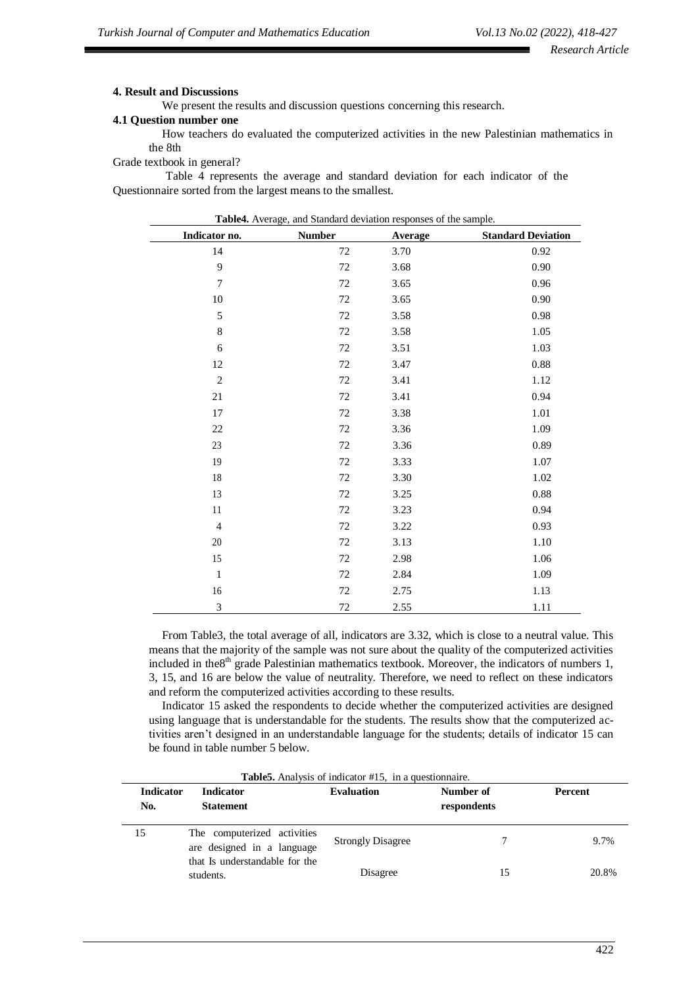#### **4. Result and Discussions**

We present the results and discussion questions concerning this research.

#### **4.1 Question number one**

How teachers do evaluated the computerized activities in the new Palestinian mathematics in the 8th

Grade textbook in general?

Table 4 represents the average and standard deviation for each indicator of the Questionnaire sorted from the largest means to the smallest.

**Table4.** Average, and Standard deviation responses of the sample.

| Indicator no.  | <b>Number</b> | Average | <b>Standard Deviation</b> |
|----------------|---------------|---------|---------------------------|
| 14             | 72            | 3.70    | 0.92                      |
| 9              | 72            | 3.68    | 0.90                      |
| $\tau$         | 72            | 3.65    | 0.96                      |
| 10             | 72            | 3.65    | 0.90                      |
| $\sqrt{5}$     | 72            | 3.58    | 0.98                      |
| $\,8\,$        | $72\,$        | 3.58    | 1.05                      |
| 6              | 72            | 3.51    | 1.03                      |
| 12             | 72            | 3.47    | $0.88\,$                  |
| $\overline{2}$ | 72            | 3.41    | 1.12                      |
| $21\,$         | 72            | 3.41    | 0.94                      |
| 17             | 72            | 3.38    | 1.01                      |
| 22             | 72            | 3.36    | 1.09                      |
| 23             | 72            | 3.36    | 0.89                      |
| 19             | 72            | 3.33    | 1.07                      |
| $18\,$         | $72\,$        | 3.30    | 1.02                      |
| 13             | 72            | 3.25    | 0.88                      |
| 11             | 72            | 3.23    | 0.94                      |
| $\overline{4}$ | 72            | 3.22    | 0.93                      |
| 20             | 72            | 3.13    | 1.10                      |
| 15             | 72            | 2.98    | 1.06                      |
| $\mathbf 1$    | 72            | 2.84    | 1.09                      |
| 16             | $72\,$        | 2.75    | 1.13                      |
| 3              | $72\,$        | 2.55    | 1.11                      |

From Table3, the total average of all, indicators are 3.32, which is close to a neutral value. This means that the majority of the sample was not sure about the quality of the computerized activities included in the8<sup>th</sup> grade Palestinian mathematics textbook. Moreover, the indicators of numbers 1, 3, 15, and 16 are below the value of neutrality. Therefore, we need to reflect on these indicators and reform the computerized activities according to these results.

Indicator 15 asked the respondents to decide whether the computerized activities are designed using language that is understandable for the students. The results show that the computerized activities aren't designed in an understandable language for the students; details of indicator 15 can be found in table number 5 below.

| <b>Indicator</b><br>No. | <b>Indicator</b><br><b>Statement</b>                      | <b>Evaluation</b>        | Number of<br>respondents | <b>Percent</b> |
|-------------------------|-----------------------------------------------------------|--------------------------|--------------------------|----------------|
| 15                      | The computerized activities<br>are designed in a language | <b>Strongly Disagree</b> |                          | 9.7%           |
|                         | that Is understandable for the<br>students.               | Disagree                 | 15                       | 20.8%          |

**Table5.** Analysis of indicator #15, in a questionnaire.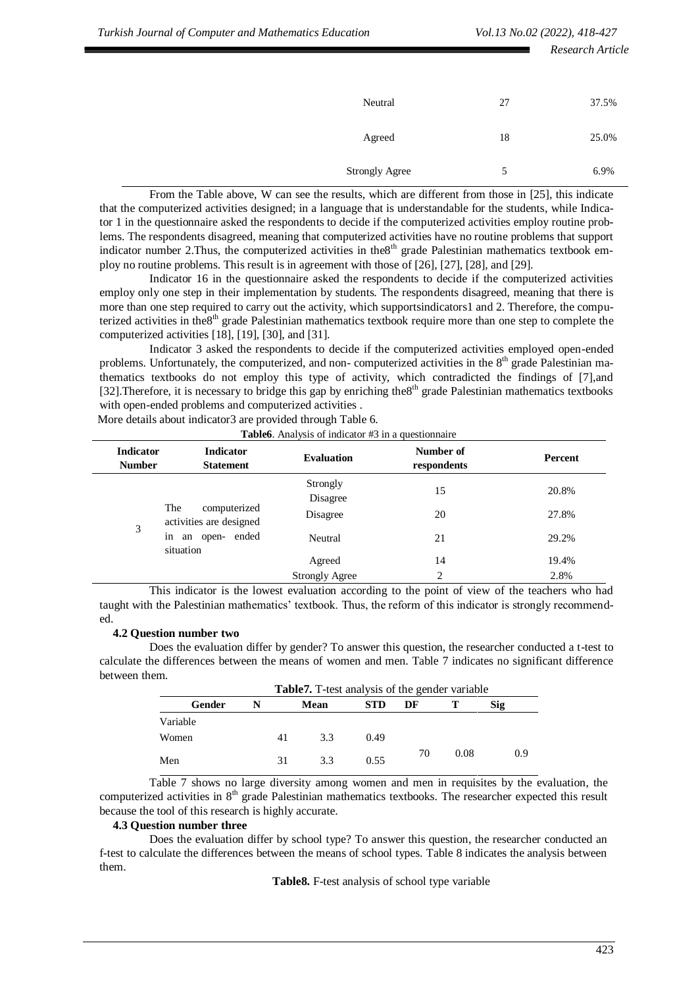|                       |    | Research Article |
|-----------------------|----|------------------|
| Neutral               | 27 | 37.5%            |
| Agreed                | 18 | 25.0%            |
| <b>Strongly Agree</b> | 5  | 6.9%             |

From the Table above, W can see the results, which are different from those in [25], this indicate that the computerized activities designed; in a language that is understandable for the students, while Indicator 1 in the questionnaire asked the respondents to decide if the computerized activities employ routine problems. The respondents disagreed, meaning that computerized activities have no routine problems that support indicator number 2. Thus, the computerized activities in the8<sup>th</sup> grade Palestinian mathematics textbook employ no routine problems. This result is in agreement with those of [26], [27], [28], and [29].

Indicator 16 in the questionnaire asked the respondents to decide if the computerized activities employ only one step in their implementation by students. The respondents disagreed, meaning that there is more than one step required to carry out the activity, which supportsindicators1 and 2. Therefore, the computerized activities in the8<sup>th</sup> grade Palestinian mathematics textbook require more than one step to complete the computerized activities [18], [19], [30], and [31].

Indicator 3 asked the respondents to decide if the computerized activities employed open-ended problems. Unfortunately, the computerized, and non- computerized activities in the 8<sup>th</sup> grade Palestinian mathematics textbooks do not employ this type of activity, which contradicted the findings of [7],and [32].Therefore, it is necessary to bridge this gap by enriching the8<sup>th</sup> grade Palestinian mathematics textbooks with open-ended problems and computerized activities .

| <b>Indicator</b><br><b>Number</b> | <b>Indicator</b><br><b>Statement</b>    | <b>Evaluation</b>     | Number of<br>respondents | Percent |
|-----------------------------------|-----------------------------------------|-----------------------|--------------------------|---------|
| The<br>3<br>1n<br>situation       |                                         | Strongly<br>Disagree  | 15                       | 20.8%   |
|                                   | computerized<br>activities are designed | Disagree              | 20                       | 27.8%   |
|                                   | an open- ended                          | Neutral               | 21                       | 29.2%   |
|                                   |                                         | Agreed                | 14                       | 19.4%   |
|                                   |                                         | <b>Strongly Agree</b> | 2                        | 2.8%    |

More details about indicator3 are provided through Table 6.

This indicator is the lowest evaluation according to the point of view of the teachers who had taught with the Palestinian mathematics' textbook. Thus, the reform of this indicator is strongly recommended.

#### **4.2 Question number two**

Does the evaluation differ by gender? To answer this question, the researcher conducted a t-test to calculate the differences between the means of women and men. Table 7 indicates no significant difference between them.

| <b>Table7.</b> T-test analysis of the gender variable |    |      |            |    |      |     |
|-------------------------------------------------------|----|------|------------|----|------|-----|
| Gender                                                |    | Mean | <b>STD</b> | DF |      | Sig |
| Variable                                              |    |      |            |    |      |     |
| Women                                                 | 41 | 3.3  | 0.49       |    |      |     |
| Men                                                   | 31 | 3.3  | 0.55       | 70 | 0.08 | 0.9 |

Table 7 shows no large diversity among women and men in requisites by the evaluation, the computerized activities in 8<sup>th</sup> grade Palestinian mathematics textbooks. The researcher expected this result because the tool of this research is highly accurate.

#### **4.3 Question number three**

Does the evaluation differ by school type? To answer this question, the researcher conducted an f-test to calculate the differences between the means of school types. Table 8 indicates the analysis between them.

**Table8.** F-test analysis of school type variable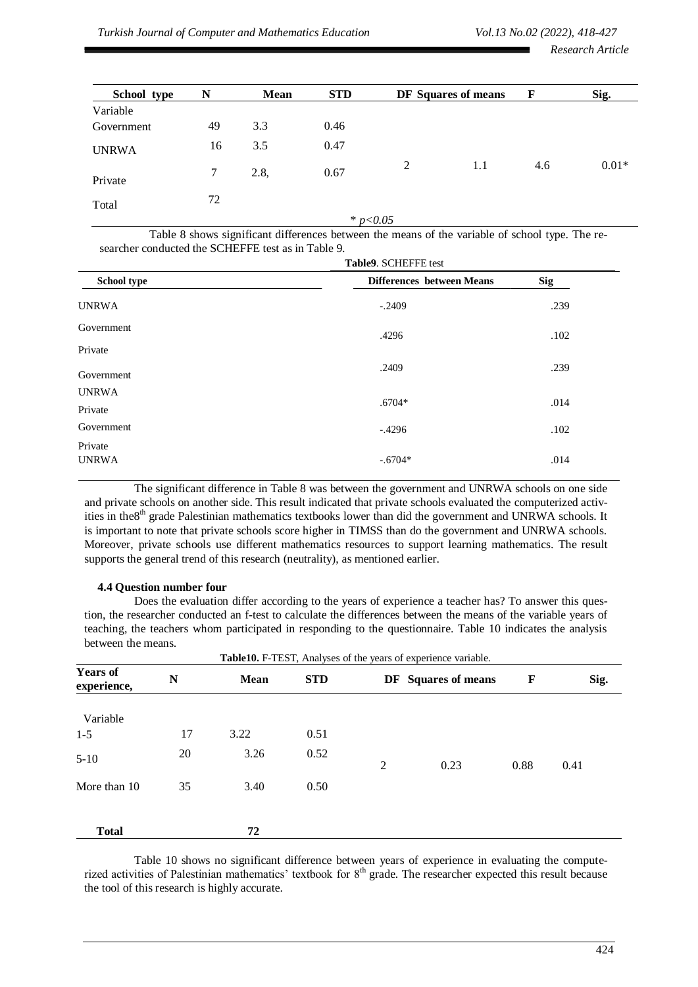*Research Article*

| School type  | N  | Mean | <b>STD</b> |   | DF Squares of means | F   | Sig.    |
|--------------|----|------|------------|---|---------------------|-----|---------|
| Variable     |    |      |            |   |                     |     |         |
| Government   | 49 | 3.3  | 0.46       |   |                     |     |         |
| <b>UNRWA</b> | 16 | 3.5  | 0.47       |   |                     |     |         |
| Private      | 7  | 2.8, | 0.67       | 2 | 1.1                 | 4.6 | $0.01*$ |
| Total        | 72 |      |            |   |                     |     |         |

\* *p<0.05*

Table 8 shows significant differences between the means of the variable of school type. The researcher conducted the SCHEFFE test as in Table 9.

|                         | Table9. SCHEFFE test             |            |  |
|-------------------------|----------------------------------|------------|--|
| School type             | <b>Differences</b> between Means | <b>Sig</b> |  |
| <b>UNRWA</b>            | $-.2409$                         | .239       |  |
| Government              | .4296                            | .102       |  |
| Private                 |                                  |            |  |
| Government              | .2409                            | .239       |  |
| <b>UNRWA</b>            |                                  |            |  |
| Private                 | $.6704*$                         | .014       |  |
| Government              | $-.4296$                         | .102       |  |
| Private<br><b>UNRWA</b> | $-.6704*$                        | .014       |  |

The significant difference in Table 8 was between the government and UNRWA schools on one side and private schools on another side. This result indicated that private schools evaluated the computerized activities in the8<sup>th</sup> grade Palestinian mathematics textbooks lower than did the government and UNRWA schools. It is important to note that private schools score higher in TIMSS than do the government and UNRWA schools. Moreover, private schools use different mathematics resources to support learning mathematics. The result supports the general trend of this research (neutrality), as mentioned earlier.

# **4.4 Question number four**

Does the evaluation differ according to the years of experience a teacher has? To answer this question, the researcher conducted an f-test to calculate the differences between the means of the variable years of teaching, the teachers whom participated in responding to the questionnaire. Table 10 indicates the analysis between the means.

|                                | Table10. F-TEST, Analyses of the years of experience variable. |      |            |   |                     |      |      |
|--------------------------------|----------------------------------------------------------------|------|------------|---|---------------------|------|------|
| <b>Years of</b><br>experience, | $\mathbb N$                                                    | Mean | <b>STD</b> |   | DF Squares of means | F    | Sig. |
| Variable                       |                                                                |      |            |   |                     |      |      |
| $1 - 5$                        | 17                                                             | 3.22 | 0.51       |   |                     |      |      |
| $5-10$                         | 20                                                             | 3.26 | 0.52       | 2 | 0.23                | 0.88 | 0.41 |
| More than 10                   | 35                                                             | 3.40 | 0.50       |   |                     |      |      |
| <b>Total</b>                   |                                                                | 72   |            |   |                     |      |      |

Table 10 shows no significant difference between years of experience in evaluating the computerized activities of Palestinian mathematics' textbook for 8<sup>th</sup> grade. The researcher expected this result because the tool of this research is highly accurate.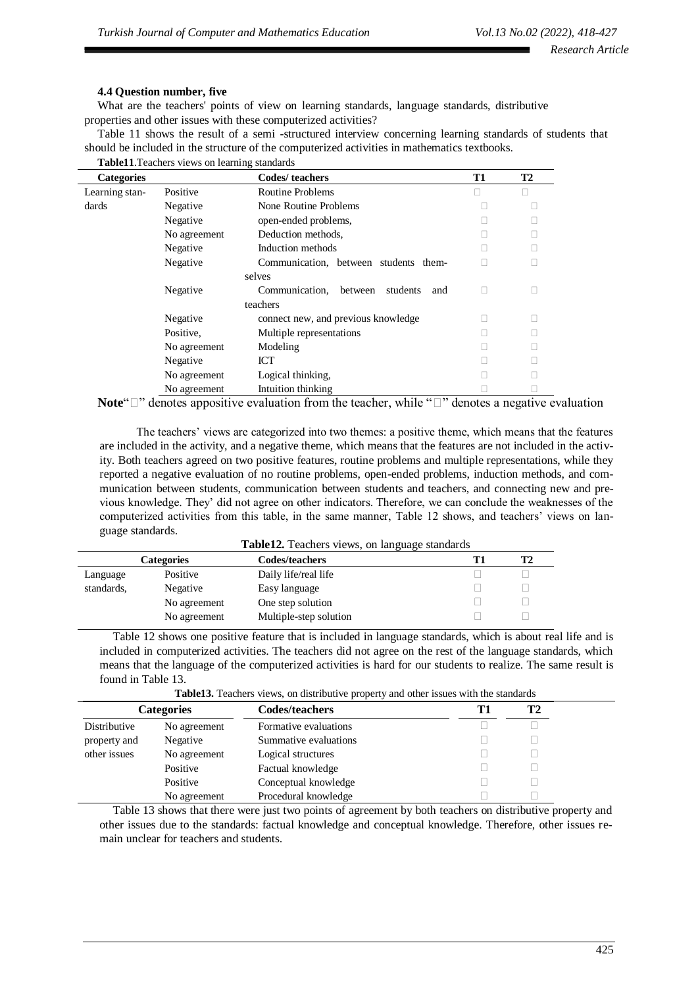# **4.4 Question number, five**

What are the teachers' points of view on learning standards, language standards, distributive properties and other issues with these computerized activities?

Table 11 shows the result of a semi -structured interview concerning learning standards of students that should be included in the structure of the computerized activities in mathematics textbooks.

| <b>Table 11.</b> Teachers views on learning standards |              |                                              |    |           |  |  |  |  |
|-------------------------------------------------------|--------------|----------------------------------------------|----|-----------|--|--|--|--|
| <b>Categories</b>                                     |              | Codes/teachers                               | T1 | <b>T2</b> |  |  |  |  |
| Learning stan-                                        | Positive     | <b>Routine Problems</b>                      |    | П         |  |  |  |  |
| dards                                                 | Negative     | None Routine Problems                        |    |           |  |  |  |  |
|                                                       | Negative     | open-ended problems,                         |    |           |  |  |  |  |
|                                                       | No agreement | Deduction methods,                           |    |           |  |  |  |  |
|                                                       | Negative     | Induction methods                            |    |           |  |  |  |  |
|                                                       | Negative     | Communication, between students them-        |    |           |  |  |  |  |
|                                                       |              | selves                                       |    |           |  |  |  |  |
|                                                       | Negative     | Communication,<br>students<br>between<br>and | П  |           |  |  |  |  |
|                                                       |              | teachers                                     |    |           |  |  |  |  |
|                                                       | Negative     | connect new, and previous knowledge          |    |           |  |  |  |  |
|                                                       | Positive,    | Multiple representations                     |    |           |  |  |  |  |
|                                                       | No agreement | Modeling                                     |    |           |  |  |  |  |
|                                                       | Negative     | ICT                                          |    |           |  |  |  |  |
|                                                       | No agreement | Logical thinking.                            |    |           |  |  |  |  |
|                                                       | No agreement | Intuition thinking                           |    |           |  |  |  |  |

**Note**" $\Box$ " denotes appositive evaluation from the teacher, while " $\Box$ " denotes a negative evaluation

 The teachers' views are categorized into two themes: a positive theme, which means that the features are included in the activity, and a negative theme, which means that the features are not included in the activity. Both teachers agreed on two positive features, routine problems and multiple representations, while they reported a negative evaluation of no routine problems, open-ended problems, induction methods, and communication between students, communication between students and teachers, and connecting new and previous knowledge. They' did not agree on other indicators. Therefore, we can conclude the weaknesses of the computerized activities from this table, in the same manner, Table 12 shows, and teachers' views on language standards. **Table12.** Teachers views, on language standards

|            |                   | <b>Table12.</b> Teachers views, on fanguage standards |           |
|------------|-------------------|-------------------------------------------------------|-----------|
|            | <b>Categories</b> | <b>Codes/teachers</b>                                 | <b>T2</b> |
| Language   | Positive          | Daily life/real life                                  |           |
| standards. | Negative          | Easy language                                         |           |
|            | No agreement      | One step solution                                     |           |
|            | No agreement      | Multiple-step solution                                |           |

Table 12 shows one positive feature that is included in language standards, which is about real life and is included in computerized activities. The teachers did not agree on the rest of the language standards, which means that the language of the computerized activities is hard for our students to realize. The same result is found in Table 13.

**Table13.** Teachers views, on distributive property and other issues with the standards

| <b>Categories</b> |              | <b>Codes/teachers</b> | <b>T2</b> |
|-------------------|--------------|-----------------------|-----------|
| Distributive      | No agreement | Formative evaluations |           |
| property and      | Negative     | Summative evaluations |           |
| other issues      | No agreement | Logical structures    |           |
|                   | Positive     | Factual knowledge     |           |
|                   | Positive     | Conceptual knowledge  |           |
|                   | No agreement | Procedural knowledge  |           |

Table 13 shows that there were just two points of agreement by both teachers on distributive property and other issues due to the standards: factual knowledge and conceptual knowledge. Therefore, other issues remain unclear for teachers and students.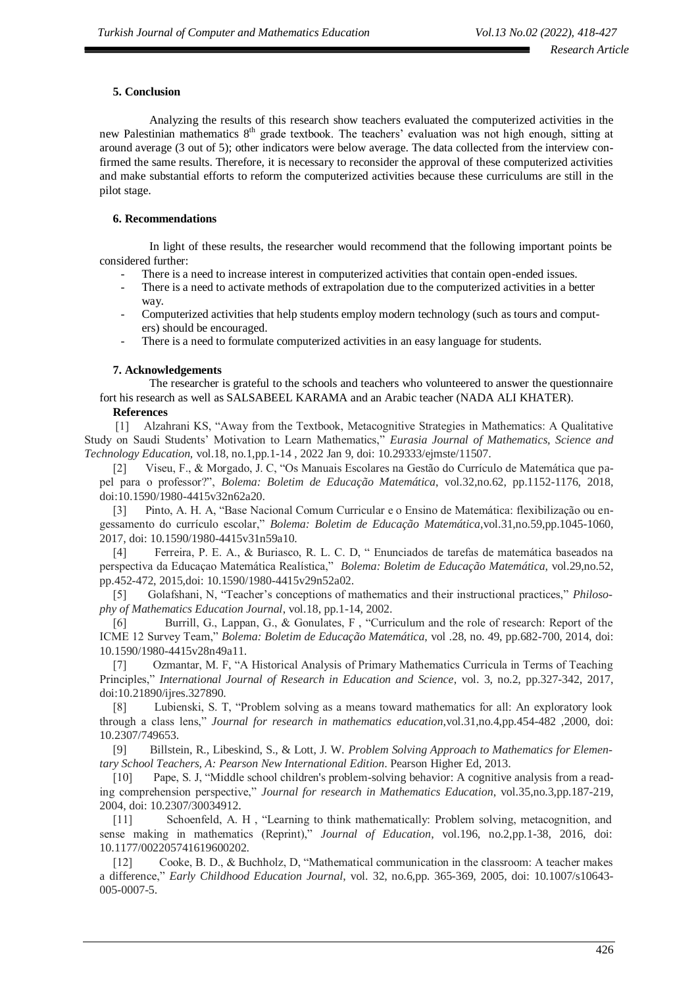# **5. Conclusion**

Analyzing the results of this research show teachers evaluated the computerized activities in the new Palestinian mathematics  $8<sup>th</sup>$  grade textbook. The teachers' evaluation was not high enough, sitting at around average (3 out of 5); other indicators were below average. The data collected from the interview confirmed the same results. Therefore, it is necessary to reconsider the approval of these computerized activities and make substantial efforts to reform the computerized activities because these curriculums are still in the pilot stage.

# **6. Recommendations**

In light of these results, the researcher would recommend that the following important points be considered further:

- There is a need to increase interest in computerized activities that contain open-ended issues.
- There is a need to activate methods of extrapolation due to the computerized activities in a better way.
- Computerized activities that help students employ modern technology (such as tours and computers) should be encouraged.
- There is a need to formulate computerized activities in an easy language for students.

# **7. Acknowledgements**

The researcher is grateful to the schools and teachers who volunteered to answer the questionnaire fort his research as well as SALSABEEL KARAMA and an Arabic teacher (NADA ALI KHATER).

# **References**

 [1] Alzahrani KS, "Away from the Textbook, Metacognitive Strategies in Mathematics: A Qualitative Study on Saudi Students' Motivation to Learn Mathematics," *Eurasia Journal of Mathematics, Science and Technology Education,* vol.18, no.1,pp.1-14 , 2022 Jan 9, doi: 10.29333/ejmste/11507.

[2] Viseu, F., & Morgado, J. C, "Os Manuais Escolares na Gestão do Currículo de Matemática que papel para o professor?", *Bolema: Boletim de Educação Matemática*, vol.32,no.62, pp.1152-1176, 2018, doi:10.1590/1980-4415v32n62a20.

[3] Pinto, A. H. A, "Base Nacional Comum Curricular e o Ensino de Matemática: flexibilização ou engessamento do currículo escolar," *Bolema: Boletim de Educação Matemática*,vol.31,no.59,pp.1045-1060, 2017, doi: [10.1590/1980-4415v31n59a10.](https://doi.org/10.1590/1980-4415v31n59a10)

[4] Ferreira, P. E. A., & Buriasco, R. L. C. D, " Enunciados de tarefas de matemática baseados na perspectiva da Educaçao Matemática Realística," *Bolema: Boletim de Educação Matemática*, vol.29,no.52, pp.452-472, 2015,doi: 10.1590/1980-4415v29n52a02.

[5] Golafshani, N, "Teacher's conceptions of mathematics and their instructional practices," *Philosophy of Mathematics Education Journal*, vol.18, pp.1-14, 2002.

[6] Burrill, G., Lappan, G., & Gonulates, F , "Curriculum and the role of research: Report of the ICME 12 Survey Team," *Bolema: Boletim de Educação Matemática*, vol .28, no. 49, pp.682-700, 2014, doi: [10.1590/1980-4415v28n49a11.](http://dx.doi.org/10.1590/1980-4415v28n49a11)

[7] Ozmantar, M. F, "A Historical Analysis of Primary Mathematics Curricula in Terms of Teaching Principles," *International Journal of Research in Education and Science*, vol. 3, no.2, pp.327-342, 2017, doi:10.21890/ijres.327890.

[8] Lubienski, S. T, "Problem solving as a means toward mathematics for all: An exploratory look through a class lens," *Journal for research in mathematics education*,vol.31,no.4,pp.454-482 ,2000, doi: [10.2307/749653.](https://doi.org/10.2307/749653)

[9] Billstein, R., Libeskind, S., & Lott, J. W. *Problem Solving Approach to Mathematics for Elementary School Teachers, A: Pearson New International Edition*. Pearson Higher Ed, 2013.

[10] Pape, S. J, "Middle school children's problem-solving behavior: A cognitive analysis from a reading comprehension perspective," *Journal for research in Mathematics Education*, vol.35,no.3,pp.187-219, 2004, doi: [10.2307/30034912.](https://doi.org/10.2307/30034912)

[11] Schoenfeld, A. H , "Learning to think mathematically: Problem solving, metacognition, and sense making in mathematics (Reprint)," *Journal of Education*, vol.196, no.2,pp.1-38, 2016, doi: [10.1177/002205741619600202.](https://doi.org/10.1177%2F002205741619600202)

[12] Cooke, B. D., & Buchholz, D, "Mathematical communication in the classroom: A teacher makes a difference," *Early Childhood Education Journal*, vol. 32, no.6,pp. 365-369, 2005, doi: 10.1007/s10643- 005-0007-5.